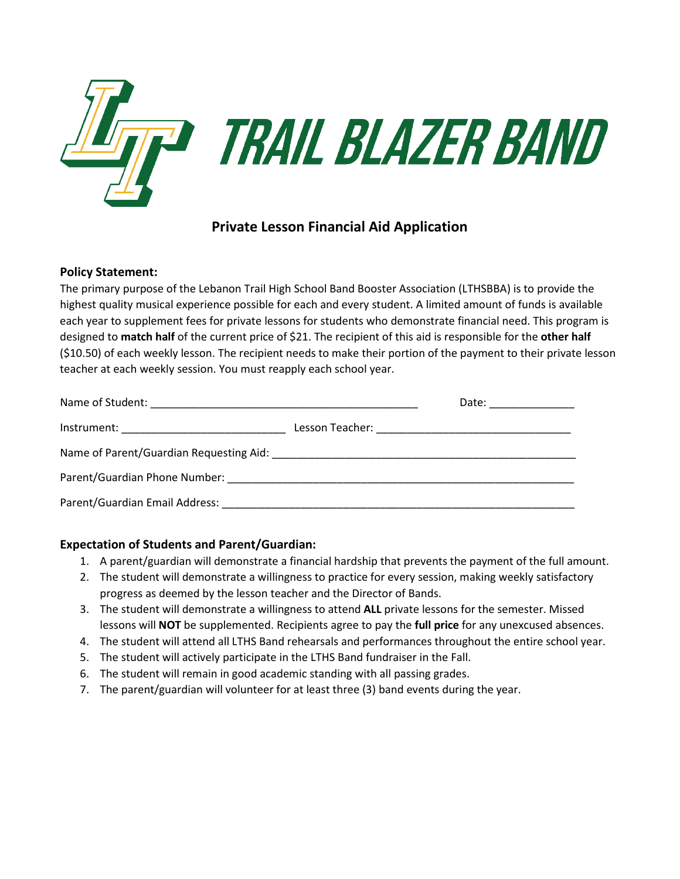

# **Private Lesson Financial Aid Application**

### **Policy Statement:**

The primary purpose of the Lebanon Trail High School Band Booster Association (LTHSBBA) is to provide the highest quality musical experience possible for each and every student. A limited amount of funds is available each year to supplement fees for private lessons for students who demonstrate financial need. This program is designed to **match half** of the current price of \$21. The recipient of this aid is responsible for the **other half** (\$10.50) of each weekly lesson. The recipient needs to make their portion of the payment to their private lesson teacher at each weekly session. You must reapply each school year.

|                                                                                                                                                                                                                                | Date: _______________ |
|--------------------------------------------------------------------------------------------------------------------------------------------------------------------------------------------------------------------------------|-----------------------|
|                                                                                                                                                                                                                                |                       |
|                                                                                                                                                                                                                                |                       |
|                                                                                                                                                                                                                                |                       |
| Parent/Guardian Email Address: National American Communications of the Communication of the Communication of the Communication of the Communication of the Communication of the Communication of the Communication of the Comm |                       |

# **Expectation of Students and Parent/Guardian:**

- 1. A parent/guardian will demonstrate a financial hardship that prevents the payment of the full amount.
- 2. The student will demonstrate a willingness to practice for every session, making weekly satisfactory progress as deemed by the lesson teacher and the Director of Bands.
- 3. The student will demonstrate a willingness to attend **ALL** private lessons for the semester. Missed lessons will **NOT** be supplemented. Recipients agree to pay the **full price** for any unexcused absences.
- 4. The student will attend all LTHS Band rehearsals and performances throughout the entire school year.
- 5. The student will actively participate in the LTHS Band fundraiser in the Fall.
- 6. The student will remain in good academic standing with all passing grades.
- 7. The parent/guardian will volunteer for at least three (3) band events during the year.